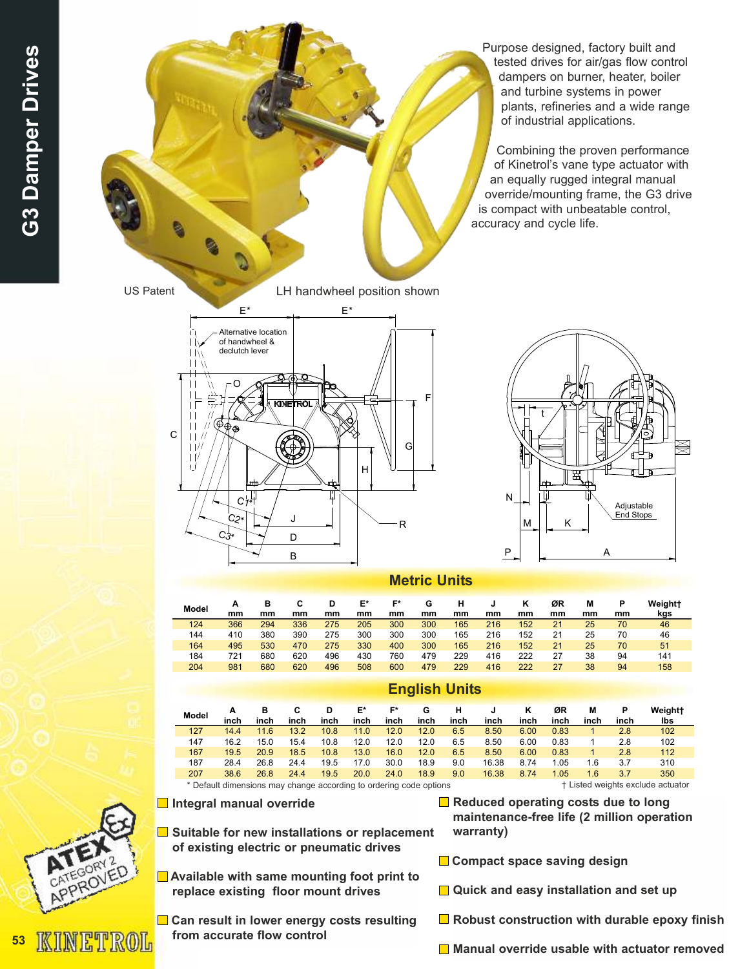Purpose designed, factory built and tested drives for air/gas flow control dampers on burner, heater, boiler and turbine systems in power plants, refineries and a wide range of industrial applications.

Combining the proven performance of Kinetrol's vane type actuator with an equally rugged integral manual override/mounting frame, the G3 drive is compact with unbeatable control, accuracy and cycle life.

US Patent LH handwheel position shown







## Metric Units

| Model | mm  | в<br>mm | mm  | mm  | E*<br>mm | г×<br>mm | G<br>mm | mm  | mm  | mm  | ØR<br>mm | М<br>mm | mm | Weight <sup>+</sup><br>kgs |
|-------|-----|---------|-----|-----|----------|----------|---------|-----|-----|-----|----------|---------|----|----------------------------|
| 124   | 366 | 294     | 336 | 275 | 205      | 300      | 300     | 165 | 216 | 152 | 21       | 25      | 70 | 46                         |
| 144   | 410 | 380     | 390 | 275 | 300      | 300      | 300     | 165 | 216 | 152 | 21       | 25      | 70 | 46                         |
| 164   | 495 | 530     | 470 | 275 | 330      | 400      | 300     | 165 | 216 | 152 | 21       | 25      | 70 | 51                         |
| 184   | 721 | 680     | 620 | 496 | 430      | 760      | 479     | 229 | 416 | 222 | 27       | 38      | 94 | 141                        |
| 204   | 981 | 680     | 620 | 496 | 508      | 600      | 479     | 229 | 416 | 222 | 27       | 38      | 94 | 158                        |

|                                                                                                         | ENTRIL SING |           |      |           |            |            |           |           |       |      |            |           |           |                |
|---------------------------------------------------------------------------------------------------------|-------------|-----------|------|-----------|------------|------------|-----------|-----------|-------|------|------------|-----------|-----------|----------------|
| Model                                                                                                   | inch        | в<br>inch | inch | D<br>inch | E*<br>inch | F*<br>inch | G<br>inch | н<br>inch | inch  | inch | ØR<br>inch | м<br>inch | Р<br>inch | Weight+<br>lbs |
| 127                                                                                                     | 14.4        | 11.6      | 13.2 | 10.8      | 11.0       | 12.0       | 12.0      | 6.5       | 8.50  | 6.00 | 0.83       |           | 2.8       | 102            |
| 147                                                                                                     | 16.2        | 15.0      | 15.4 | 10.8      | 12.0       | 12.0       | 12.0      | 6.5       | 8.50  | 6.00 | 0.83       |           | 2.8       | 102            |
| 167                                                                                                     | 19.5        | 20.9      | 18.5 | 10.8      | 13.0       | 16.0       | 12.0      | 6.5       | 8.50  | 6.00 | 0.83       |           | 2.8       | 112            |
| 187                                                                                                     | 28.4        | 26.8      | 24.4 | 19.5      | 17.0       | 30.0       | 18.9      | 9.0       | 16.38 | 8.74 | 1.05       | 1.6       | 3.7       | 310            |
| 207                                                                                                     | 38.6        | 26.8      | 24.4 | 19.5      | 20.0       | 24.0       | 18.9      | 9.0       | 16.38 | 8.74 | 1.05       | 1.6       | 3.7       | 350            |
| † Listed weights exclude actuator<br>* Default dimensions may change according to ordering code options |             |           |      |           |            |            |           |           |       |      |            |           |           |                |

English Units

 $\blacksquare$  Integral manual override

- $\blacksquare$  Suitable for new installations or replacement of existing electric or pneumatic drives
	- **Available with same mounting foot print to** replace existing floor mount drives
	- **□ Can result in lower energy costs resulting** from accurate flow control
- $\blacksquare$  Reduced operating costs due to long maintenance-free life (2 million operation warranty)
- Compact space saving design
- **■** Quick and easy installation and set up
- $\Box$  Robust construction with durable epoxy finish
- Manual override usable with actuator removed

KINETROL

53